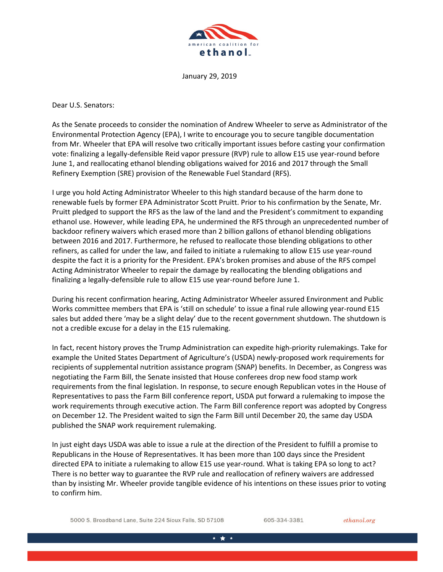

January 29, 2019

Dear U.S. Senators:

As the Senate proceeds to consider the nomination of Andrew Wheeler to serve as Administrator of the Environmental Protection Agency (EPA), I write to encourage you to secure tangible documentation from Mr. Wheeler that EPA will resolve two critically important issues before casting your confirmation vote: finalizing a legally-defensible Reid vapor pressure (RVP) rule to allow E15 use year-round before June 1, and reallocating ethanol blending obligations waived for 2016 and 2017 through the Small Refinery Exemption (SRE) provision of the Renewable Fuel Standard (RFS).

I urge you hold Acting Administrator Wheeler to this high standard because of the harm done to renewable fuels by former EPA Administrator Scott Pruitt. Prior to his confirmation by the Senate, Mr. Pruitt pledged to support the RFS as the law of the land and the President's commitment to expanding ethanol use. However, while leading EPA, he undermined the RFS through an unprecedented number of backdoor refinery waivers which erased more than 2 billion gallons of ethanol blending obligations between 2016 and 2017. Furthermore, he refused to reallocate those blending obligations to other refiners, as called for under the law, and failed to initiate a rulemaking to allow E15 use year-round despite the fact it is a priority for the President. EPA's broken promises and abuse of the RFS compel Acting Administrator Wheeler to repair the damage by reallocating the blending obligations and finalizing a legally-defensible rule to allow E15 use year-round before June 1.

During his recent confirmation hearing, Acting Administrator Wheeler assured Environment and Public Works committee members that EPA is 'still on schedule' to issue a final rule allowing year-round E15 sales but added there 'may be a slight delay' due to the recent government shutdown. The shutdown is not a credible excuse for a delay in the E15 rulemaking.

In fact, recent history proves the Trump Administration can expedite high-priority rulemakings. Take for example the United States Department of Agriculture's (USDA) newly-proposed work requirements for recipients of supplemental nutrition assistance program (SNAP) benefits. In December, as Congress was negotiating the Farm Bill, the Senate insisted that House conferees drop new food stamp work requirements from the final legislation. In response, to secure enough Republican votes in the House of Representatives to pass the Farm Bill conference report, USDA put forward a rulemaking to impose the work requirements through executive action. The Farm Bill conference report was adopted by Congress on December 12. The President waited to sign the Farm Bill until December 20, the same day USDA published the SNAP work requirement rulemaking.

In just eight days USDA was able to issue a rule at the direction of the President to fulfill a promise to Republicans in the House of Representatives. It has been more than 100 days since the President directed EPA to initiate a rulemaking to allow E15 use year-round. What is taking EPA so long to act? There is no better way to guarantee the RVP rule and reallocation of refinery waivers are addressed than by insisting Mr. Wheeler provide tangible evidence of his intentions on these issues prior to voting to confirm him.

5000 S. Broadband Lane, Suite 224 Sioux Falls, SD 57108

605-334-3381

ethanol.org

\* \* \*